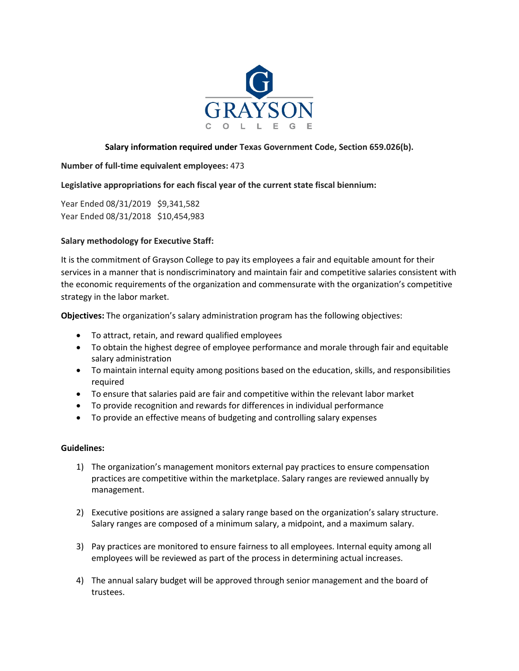

# **Salary information required under Texas Government Code, Section 659.026(b).**

## **Number of full-time equivalent employees:** 473

## **Legislative appropriations for each fiscal year of the current state fiscal biennium:**

Year Ended 08/31/2019 \$9,341,582 Year Ended 08/31/2018 \$10,454,983

### **Salary methodology for Executive Staff:**

It is the commitment of Grayson College to pay its employees a fair and equitable amount for their services in a manner that is nondiscriminatory and maintain fair and competitive salaries consistent with the economic requirements of the organization and commensurate with the organization's competitive strategy in the labor market.

**Objectives:** The organization's salary administration program has the following objectives:

- To attract, retain, and reward qualified employees
- To obtain the highest degree of employee performance and morale through fair and equitable salary administration
- To maintain internal equity among positions based on the education, skills, and responsibilities required
- To ensure that salaries paid are fair and competitive within the relevant labor market
- To provide recognition and rewards for differences in individual performance
- To provide an effective means of budgeting and controlling salary expenses

### **Guidelines:**

- 1) The organization's management monitors external pay practices to ensure compensation practices are competitive within the marketplace. Salary ranges are reviewed annually by management.
- 2) Executive positions are assigned a salary range based on the organization's salary structure. Salary ranges are composed of a minimum salary, a midpoint, and a maximum salary.
- 3) Pay practices are monitored to ensure fairness to all employees. Internal equity among all employees will be reviewed as part of the process in determining actual increases.
- 4) The annual salary budget will be approved through senior management and the board of trustees.